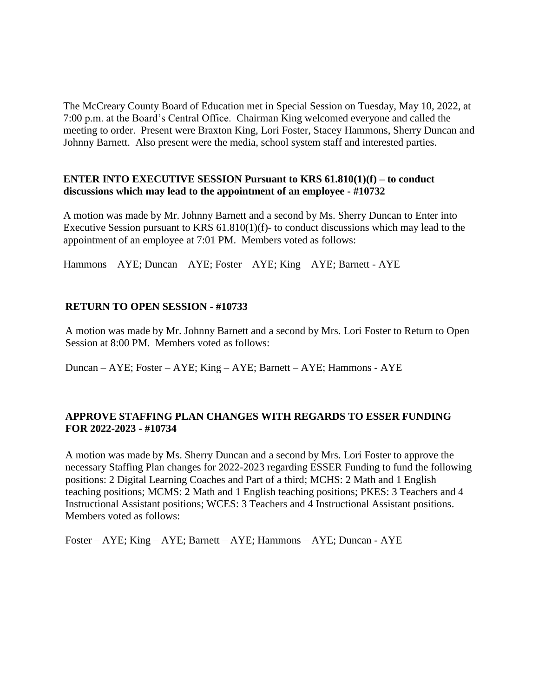The McCreary County Board of Education met in Special Session on Tuesday, May 10, 2022, at 7:00 p.m. at the Board's Central Office. Chairman King welcomed everyone and called the meeting to order. Present were Braxton King, Lori Foster, Stacey Hammons, Sherry Duncan and Johnny Barnett. Also present were the media, school system staff and interested parties.

## **ENTER INTO EXECUTIVE SESSION Pursuant to KRS 61.810(1)(f) – to conduct discussions which may lead to the appointment of an employee - #10732**

A motion was made by Mr. Johnny Barnett and a second by Ms. Sherry Duncan to Enter into Executive Session pursuant to KRS 61.810(1)(f)- to conduct discussions which may lead to the appointment of an employee at 7:01 PM. Members voted as follows:

Hammons – AYE; Duncan – AYE; Foster – AYE; King – AYE; Barnett - AYE

## **RETURN TO OPEN SESSION - #10733**

A motion was made by Mr. Johnny Barnett and a second by Mrs. Lori Foster to Return to Open Session at 8:00 PM. Members voted as follows:

Duncan – AYE; Foster – AYE; King – AYE; Barnett – AYE; Hammons - AYE

## **APPROVE STAFFING PLAN CHANGES WITH REGARDS TO ESSER FUNDING FOR 2022-2023 - #10734**

A motion was made by Ms. Sherry Duncan and a second by Mrs. Lori Foster to approve the necessary Staffing Plan changes for 2022-2023 regarding ESSER Funding to fund the following positions: 2 Digital Learning Coaches and Part of a third; MCHS: 2 Math and 1 English teaching positions; MCMS: 2 Math and 1 English teaching positions; PKES: 3 Teachers and 4 Instructional Assistant positions; WCES: 3 Teachers and 4 Instructional Assistant positions. Members voted as follows:

Foster – AYE; King – AYE; Barnett – AYE; Hammons – AYE; Duncan - AYE